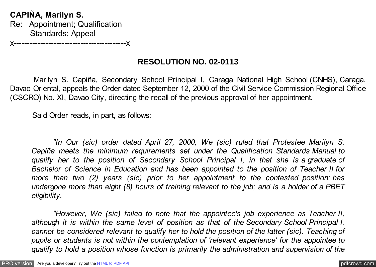**CAPIÑA, Marilyn S.** Re: Appointment; Qualification Standards; Appeal

x------------------------------------------x

# **RESOLUTION NO. 02-0113**

Marilyn S. Capiña, Secondary School Principal I, Caraga National High School (CNHS), Caraga, Davao Oriental, appeals the Order dated September 12, 2000 of the Civil Service Commission Regional Office (CSCRO) No. XI, Davao City, directing the recall of the previous approval of her appointment.

Said Order reads, in part, as follows:

*"In Our (sic) order dated April 27, 2000, We (sic) ruled that Protestee Marilyn S. Capiña meets the minimum requirements set under the Qualification Standards Manual to qualify her to the position of Secondary School Principal I, in that she is a graduate of Bachelor of Science in Education and has been appointed to the position of Teacher II for more than two (2) years (sic) prior to her appointment to the contested position; has undergone more than eight (8) hours of training relevant to the job; and is a holder of a PBET eligibility.*

*"However, We (sic) failed to note that the appointee's job experience as Teacher II, although it is within the same level of position as that of the Secondary School Principal I, cannot be considered relevant to qualify her to hold the position of the latter (sic). Teaching of pupils or students is not within the contemplation of 'relevant experience' for the appointee to qualify to hold a position whose function is primarily the administration and supervision of the*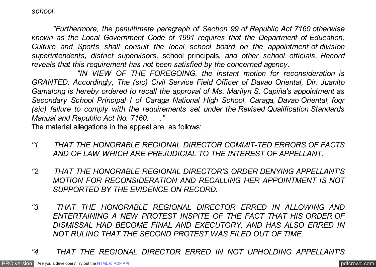*school.*

*"Furthermore, the penultimate paragraph of Section 99 of Republic Act 7160 otherwise known as the Local Government Code of 1991 requires that the Department of Education, Culture and Sports shall consult the local school board on the appointment of division superintendents, district supervisors,* school principals, *and other school officials. Record reveals that this requirement has not been satisfied by the concerned agency.*

 *"IN VIEW OF THE FOREGOING, the instant motion for reconsideration is GRANTED. Accordingly, The (sic) Civil Service Field Officer of Davao Oriental, Dir. Juanito Gamalong is hereby ordered to recall the approval of Ms. Marilyn S. Capiña's appointment as Secondary School Principal I of Caraga National High School. Caraga, Davao Oriental, foqr (sic) failure to comply with the requirements set under the Revised Qualification Standards Manual and Republic Act No. 7160. . ."*

The material allegations in the appeal are, as follows:

- *"1. THAT THE HONORABLE REGIONAL DIRECTOR COMMIT-TED ERRORS OF FACTS AND OF LAW WHICH ARE PREJUDICIAL TO THE INTEREST OF APPELLANT.*
- *"2. THAT THE HONORABLE REGIONAL DIRECTOR'S ORDER DENYING APPELLANT'S MOTION FOR RECONSIDERATION AND RECALLING HER APPOINTMENT IS NOT SUPPORTED BY THE EVIDENCE ON RECORD.*
- *"3. THAT THE HONORABLE REGIONAL DIRECTOR ERRED IN ALLOWING AND ENTERTAINING A NEW PROTEST INSPITE OF THE FACT THAT HIS ORDER OF DISMISSAL HAD BECOME FINAL AND EXECUTORY, AND HAS ALSO ERRED IN NOT RULING THAT THE SECOND PROTEST WAS FILED OUT OF TIME.*
- *"4. THAT THE REGIONAL DIRECTOR ERRED IN NOT UPHOLDING APPELLANT'S*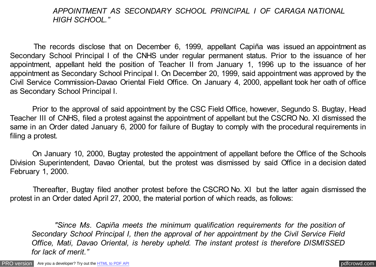## *APPOINTMENT AS SECONDARY SCHOOL PRINCIPAL I OF CARAGA NATIONAL HIGH SCHOOL."*

 The records disclose that on December 6, 1999, appellant Capiña was issued an appointment as Secondary School Principal I of the CNHS under regular permanent status. Prior to the issuance of her appointment, appellant held the position of Teacher II from January 1, 1996 up to the issuance of her appointment as Secondary School Principal I. On December 20, 1999, said appointment was approved by the Civil Service Commission-Davao Oriental Field Office. On January 4, 2000, appellant took her oath of office as Secondary School Principal I.

 Prior to the approval of said appointment by the CSC Field Office, however, Segundo S. Bugtay, Head Teacher III of CNHS, filed a protest against the appointment of appellant but the CSCRO No. XI dismissed the same in an Order dated January 6, 2000 for failure of Bugtay to comply with the procedural requirements in filing a protest.

 On January 10, 2000, Bugtay protested the appointment of appellant before the Office of the Schools Division Superintendent, Davao Oriental, but the protest was dismissed by said Office in a decision dated February 1, 2000.

 Thereafter, Bugtay filed another protest before the CSCRO No. XI but the latter again dismissed the protest in an Order dated April 27, 2000, the material portion of which reads, as follows:

 *"Since Ms. Capiña meets the minimum qualification requirements for the position of Secondary School Principal I, then the approval of her appointment by the Civil Service Field Office, Mati, Davao Oriental, is hereby upheld. The instant protest is therefore DISMISSED for lack of merit."*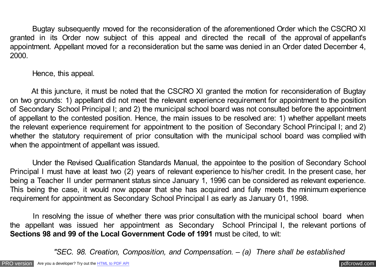Bugtay subsequently moved for the reconsideration of the aforementioned Order which the CSCRO XI granted in its Order now subject of this appeal and directed the recall of the approval of appellant's appointment. Appellant moved for a reconsideration but the same was denied in an Order dated December 4, 2000.

Hence, this appeal.

At this juncture, it must be noted that the CSCRO XI granted the motion for reconsideration of Bugtay on two grounds: 1) appellant did not meet the relevant experience requirement for appointment to the position of Secondary School Principal I; and 2) the municipal school board was not consulted before the appointment of appellant to the contested position. Hence, the main issues to be resolved are: 1) whether appellant meets the relevant experience requirement for appointment to the position of Secondary School Principal I; and 2) whether the statutory requirement of prior consultation with the municipal school board was complied with when the appointment of appellant was issued.

 Under the Revised Qualification Standards Manual, the appointee to the position of Secondary School Principal I must have at least two (2) years of relevant experience to his/her credit. In the present case, her being a Teacher II under permanent status since January 1, 1996 can be considered as relevant experience. This being the case, it would now appear that she has acquired and fully meets the minimum experience requirement for appointment as Secondary School Principal I as early as January 01, 1998.

In resolving the issue of whether there was prior consultation with the municipal school board when the appellant was issued her appointment as Secondary School Principal I, the relevant portions of **Sections 98 and 99 of the Local Government Code of 1991** must be cited, to wit:

 *"SEC. 98. Creation, Composition, and Compensation. – (a) There shall be established*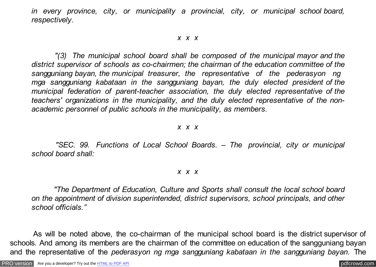*in every province, city, or municipality a provincial, city, or municipal school board, respectively.*

### *x x x*

 *"(3) The municipal school board shall be composed of the municipal mayor and the district supervisor of schools as co-chairmen; the chairman of the education committee of the sangguniang bayan, the municipal treasurer, the representative of the pederasyon ng mga sangguniang kabataan in the sangguniang bayan, the duly elected president of the municipal federation of parent-teacher association, the duly elected representative of the teachers' organizations in the municipality, and the duly elected representative of the nonacademic personnel of public schools in the municipality, as members.*

#### *x x x*

 *"SEC. 99. Functions of Local School Boards. – The provincial, city or municipal school board shall:*

#### *x x x*

 *"The Department of Education, Culture and Sports shall consult the local school board on the appointment of division superintended, district supervisors, school principals, and other school officials."*

As will be noted above, the co-chairman of the municipal school board is the district supervisor of schools. And among its members are the chairman of the committee on education of the sangguniang bayan and the representative of the *pederasyon ng mga sangguniang kabataan in the sangguniang bayan*. The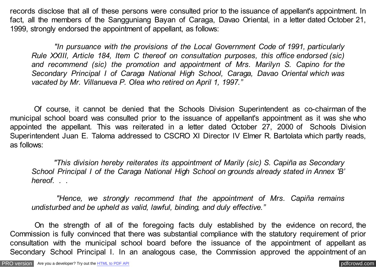records disclose that all of these persons were consulted prior to the issuance of appellant's appointment. In fact, all the members of the Sangguniang Bayan of Caraga, Davao Oriental, in a letter dated October 21, 1999, strongly endorsed the appointment of appellant, as follows:

 *"In pursuance with the provisions of the Local Government Code of 1991, particularly Rule XXIII, Article 184, Item C thereof on consultation purposes, this office endorsed (sic) and recommend (sic) the promotion and appointment of Mrs. Marilyn S. Capino for the Secondary Principal I of Caraga National High School, Caraga, Davao Oriental which was vacated by Mr. Villanueva P. Olea who retired on April 1, 1997."*

 Of course, it cannot be denied that the Schools Division Superintendent as co-chairman of the municipal school board was consulted prior to the issuance of appellant's appointment as it was she who appointed the appellant. This was reiterated in a letter dated October 27, 2000 of Schools Division Superintendent Juan E. Taloma addressed to CSCRO XI Director IV Elmer R. Bartolata which partly reads, as follows:

 *"This division hereby reiterates its appointment of Marily (sic) S. Capiña as Secondary School Principal I of the Caraga National High School on grounds already stated in Annex 'B' hereof. . .*

 *"Hence, we strongly recommend that the appointment of Mrs. Capiña remains undisturbed and be upheld as valid, lawful, binding, and duly effective."*

 On the strength of all of the foregoing facts duly established by the evidence on record, the Commission is fully convinced that there was substantial compliance with the statutory requirement of prior consultation with the municipal school board before the issuance of the appointment of appellant as Secondary School Principal I. In an analogous case, the Commission approved the appointment of an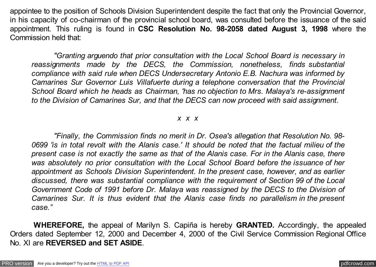appointee to the position of Schools Division Superintendent despite the fact that only the Provincial Governor, in his capacity of co-chairman of the provincial school board, was consulted before the issuance of the said appointment. This ruling is found in **CSC Resolution No. 98-2058 dated August 3, 1998** where the Commission held that:

 *"Granting arguendo that prior consultation with the Local School Board is necessary in reassignments made by the DECS, the Commission, nonetheless, finds substantial compliance with said rule when DECS Undersecretary Antonio E.B. Nachura was informed by Camarines Sur Governor Luis Villafuerte during a telephone conversation that the Provincial School Board which he heads as Chairman, 'has no objection to Mrs. Malaya's re-assignment to the Division of Camarines Sur, and that the DECS can now proceed with said assignment.*

#### *x x x*

 *"Finally, the Commission finds no merit in Dr. Osea's allegation that Resolution No. 98- 0699 'is in total revolt with the Alanis case.' It should be noted that the factual milieu of the present case is not exactly the same as that of the Alanis case. For in the Alanis case, there was absolutely no prior consultation with the Local School Board before the issuance of her appointment as Schools Division Superintendent. In the present case, however, and as earlier discussed, there was substantial compliance with the requirement of Section 99 of the Local Government Code of 1991 before Dr. Malaya was reassigned by the DECS to the Division of Camarines Sur. It is thus evident that the Alanis case finds no parallelism in the present case."*

 **WHEREFORE,** the appeal of Marilyn S. Capiña is hereby **GRANTED.** Accordingly, the appealed Orders dated September 12, 2000 and December 4, 2000 of the Civil Service Commission Regional Office No. XI are **REVERSED and SET ASIDE**.